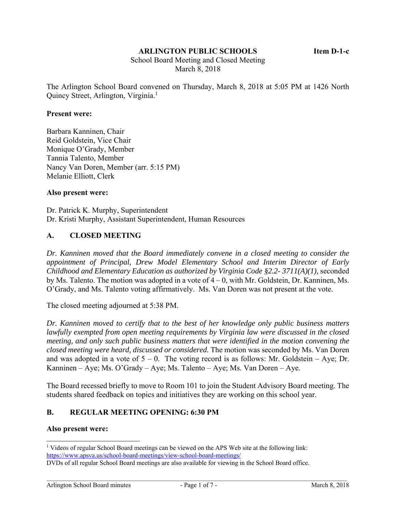#### **ARLINGTON PUBLIC SCHOOLS Item D-1-c**

 School Board Meeting and Closed Meeting March 8, 2018

The Arlington School Board convened on Thursday, March 8, 2018 at 5:05 PM at 1426 North Quincy Street, Arlington, Virginia.<sup>1</sup>

#### **Present were:**

Barbara Kanninen, Chair Reid Goldstein, Vice Chair Monique O'Grady, Member Tannia Talento, Member Nancy Van Doren, Member (arr. 5:15 PM) Melanie Elliott, Clerk

#### **Also present were:**

Dr. Patrick K. Murphy, Superintendent Dr. Kristi Murphy, Assistant Superintendent, Human Resources

### **A. CLOSED MEETING**

*Dr. Kanninen moved that the Board immediately convene in a closed meeting to consider the appointment of Principal, Drew Model Elementary School and Interim Director of Early Childhood and Elementary Education as authorized by Virginia Code §2.2- 3711(A)(1),* seconded by Ms. Talento. The motion was adopted in a vote of 4 – 0, with Mr. Goldstein, Dr. Kanninen, Ms. O'Grady, and Ms. Talento voting affirmatively. Ms. Van Doren was not present at the vote.

The closed meeting adjourned at 5:38 PM.

*Dr. Kanninen moved to certify that to the best of her knowledge only public business matters lawfully exempted from open meeting requirements by Virginia law were discussed in the closed meeting, and only such public business matters that were identified in the motion convening the closed meeting were heard, discussed or considered.* The motion was seconded by Ms. Van Doren and was adopted in a vote of  $5 - 0$ . The voting record is as follows: Mr. Goldstein – Aye; Dr. Kanninen – Aye; Ms. O'Grady – Aye; Ms. Talento – Aye; Ms. Van Doren – Aye.

The Board recessed briefly to move to Room 101 to join the Student Advisory Board meeting. The students shared feedback on topics and initiatives they are working on this school year.

### **B. REGULAR MEETING OPENING: 6:30 PM**

#### **Also present were:**

l

<sup>&</sup>lt;sup>1</sup> Videos of regular School Board meetings can be viewed on the APS Web site at the following link: https://www.apsva.us/school-board-meetings/view-school-board-meetings/

DVDs of all regular School Board meetings are also available for viewing in the School Board office.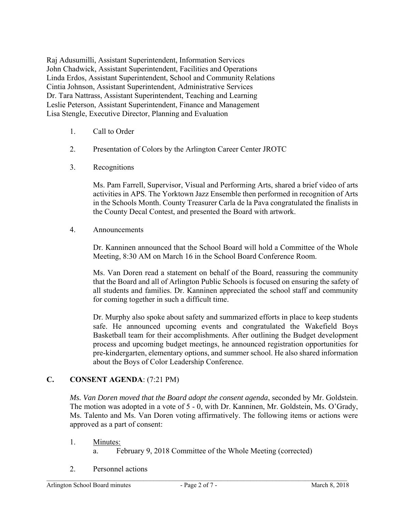Raj Adusumilli, Assistant Superintendent, Information Services John Chadwick, Assistant Superintendent, Facilities and Operations Linda Erdos, Assistant Superintendent, School and Community Relations Cintia Johnson, Assistant Superintendent, Administrative Services Dr. Tara Nattrass, Assistant Superintendent, Teaching and Learning Leslie Peterson, Assistant Superintendent, Finance and Management Lisa Stengle, Executive Director, Planning and Evaluation

- 1. Call to Order
- 2. Presentation of Colors by the Arlington Career Center JROTC
- 3. Recognitions

Ms. Pam Farrell, Supervisor, Visual and Performing Arts, shared a brief video of arts activities in APS. The Yorktown Jazz Ensemble then performed in recognition of Arts in the Schools Month. County Treasurer Carla de la Pava congratulated the finalists in the County Decal Contest, and presented the Board with artwork.

4. Announcements

Dr. Kanninen announced that the School Board will hold a Committee of the Whole Meeting, 8:30 AM on March 16 in the School Board Conference Room.

Ms. Van Doren read a statement on behalf of the Board, reassuring the community that the Board and all of Arlington Public Schools is focused on ensuring the safety of all students and families. Dr. Kanninen appreciated the school staff and community for coming together in such a difficult time.

Dr. Murphy also spoke about safety and summarized efforts in place to keep students safe. He announced upcoming events and congratulated the Wakefield Boys Basketball team for their accomplishments. After outlining the Budget development process and upcoming budget meetings, he announced registration opportunities for pre-kindergarten, elementary options, and summer school. He also shared information about the Boys of Color Leadership Conference.

# **C. CONSENT AGENDA**: (7:21 PM)

*Ms. Van Doren moved that the Board adopt the consent agenda*, seconded by Mr. Goldstein. The motion was adopted in a vote of 5 - 0, with Dr. Kanninen, Mr. Goldstein, Ms. O'Grady, Ms. Talento and Ms. Van Doren voting affirmatively. The following items or actions were approved as a part of consent:

- 1. Minutes:
	- a. February 9, 2018 Committee of the Whole Meeting (corrected)
- 2. Personnel actions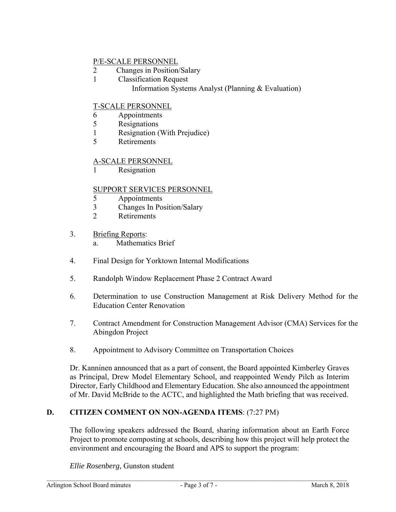# P/E-SCALE PERSONNEL

- 2 Changes in Position/Salary
- 1 Classification Request
	- Information Systems Analyst (Planning & Evaluation)

# T-SCALE PERSONNEL

- 6 Appointments
- 5 Resignations
- 1 Resignation (With Prejudice)
- 5 Retirements

## A-SCALE PERSONNEL

1 Resignation

## SUPPORT SERVICES PERSONNEL

- 5 Appointments
- 3 Changes In Position/Salary
- 2 Retirements
- 3. Briefing Reports:
	- a. Mathematics Brief
- 4. Final Design for Yorktown Internal Modifications
- 5. Randolph Window Replacement Phase 2 Contract Award
- 6. Determination to use Construction Management at Risk Delivery Method for the Education Center Renovation
- 7. Contract Amendment for Construction Management Advisor (CMA) Services for the Abingdon Project
- 8. Appointment to Advisory Committee on Transportation Choices

Dr. Kanninen announced that as a part of consent, the Board appointed Kimberley Graves as Principal, Drew Model Elementary School, and reappointed Wendy Pilch as Interim Director, Early Childhood and Elementary Education. She also announced the appointment of Mr. David McBride to the ACTC, and highlighted the Math briefing that was received.

# **D. CITIZEN COMMENT ON NON-AGENDA ITEMS**: (7:27 PM)

The following speakers addressed the Board, sharing information about an Earth Force Project to promote composting at schools, describing how this project will help protect the environment and encouraging the Board and APS to support the program:

*Ellie Rosenberg,* Gunston student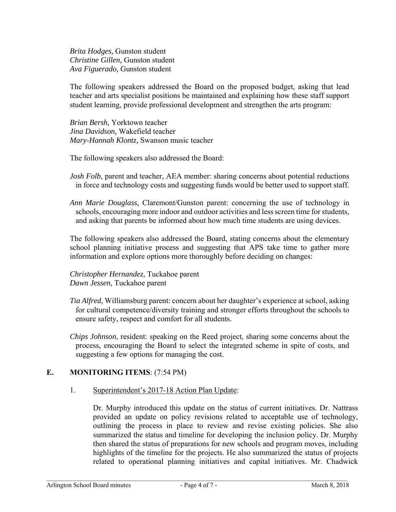*Brita Hodges,* Gunston student *Christine Gillen,* Gunston student *Ava Figuerado,* Gunston student

The following speakers addressed the Board on the proposed budget, asking that lead teacher and arts specialist positions be maintained and explaining how these staff support student learning, provide professional development and strengthen the arts program:

*Brian Bersh,* Yorktown teacher *Jina Davidson,* Wakefield teacher *Mary-Hannah Klontz,* Swanson music teacher

The following speakers also addressed the Board:

- *Josh Folb*, parent and teacher, AEA member: sharing concerns about potential reductions in force and technology costs and suggesting funds would be better used to support staff.
- *Ann Marie Douglass,* Claremont/Gunston parent: concerning the use of technology in schools, encouraging more indoor and outdoor activities and less screen time for students, and asking that parents be informed about how much time students are using devices.

The following speakers also addressed the Board, stating concerns about the elementary school planning initiative process and suggesting that APS take time to gather more information and explore options more thoroughly before deciding on changes:

*Christopher Hernandez,* Tuckahoe parent *Dawn Jessen,* Tuckahoe parent

- *Tia Alfred,* Williamsburg parent: concern about her daughter's experience at school, asking for cultural competence/diversity training and stronger efforts throughout the schools to ensure safety, respect and comfort for all students.
- *Chips Johnson*, resident: speaking on the Reed project, sharing some concerns about the process, encouraging the Board to select the integrated scheme in spite of costs, and suggesting a few options for managing the cost.

# **E. MONITORING ITEMS**: (7:54 PM)

### 1. Superintendent's 2017-18 Action Plan Update:

Dr. Murphy introduced this update on the status of current initiatives. Dr. Nattrass provided an update on policy revisions related to acceptable use of technology, outlining the process in place to review and revise existing policies. She also summarized the status and timeline for developing the inclusion policy. Dr. Murphy then shared the status of preparations for new schools and program moves, including highlights of the timeline for the projects. He also summarized the status of projects related to operational planning initiatives and capital initiatives. Mr. Chadwick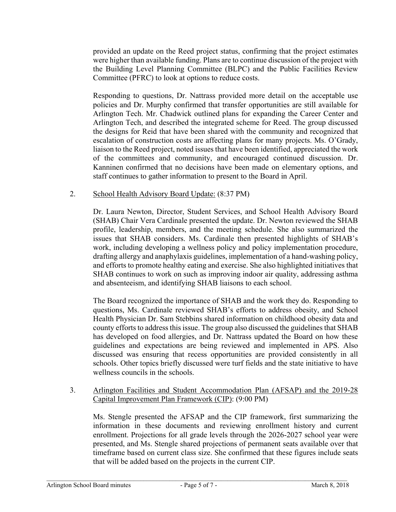provided an update on the Reed project status, confirming that the project estimates were higher than available funding. Plans are to continue discussion of the project with the Building Level Planning Committee (BLPC) and the Public Facilities Review Committee (PFRC) to look at options to reduce costs.

Responding to questions, Dr. Nattrass provided more detail on the acceptable use policies and Dr. Murphy confirmed that transfer opportunities are still available for Arlington Tech. Mr. Chadwick outlined plans for expanding the Career Center and Arlington Tech, and described the integrated scheme for Reed. The group discussed the designs for Reid that have been shared with the community and recognized that escalation of construction costs are affecting plans for many projects. Ms. O'Grady, liaison to the Reed project, noted issues that have been identified, appreciated the work of the committees and community, and encouraged continued discussion. Dr. Kanninen confirmed that no decisions have been made on elementary options, and staff continues to gather information to present to the Board in April.

## 2. School Health Advisory Board Update: (8:37 PM)

Dr. Laura Newton, Director, Student Services, and School Health Advisory Board (SHAB) Chair Vera Cardinale presented the update. Dr. Newton reviewed the SHAB profile, leadership, members, and the meeting schedule. She also summarized the issues that SHAB considers. Ms. Cardinale then presented highlights of SHAB's work, including developing a wellness policy and policy implementation procedure, drafting allergy and anaphylaxis guidelines, implementation of a hand-washing policy, and efforts to promote healthy eating and exercise. She also highlighted initiatives that SHAB continues to work on such as improving indoor air quality, addressing asthma and absenteeism, and identifying SHAB liaisons to each school.

The Board recognized the importance of SHAB and the work they do. Responding to questions, Ms. Cardinale reviewed SHAB's efforts to address obesity, and School Health Physician Dr. Sam Stebbins shared information on childhood obesity data and county efforts to address this issue. The group also discussed the guidelines that SHAB has developed on food allergies, and Dr. Nattrass updated the Board on how these guidelines and expectations are being reviewed and implemented in APS. Also discussed was ensuring that recess opportunities are provided consistently in all schools. Other topics briefly discussed were turf fields and the state initiative to have wellness councils in the schools.

## 3. Arlington Facilities and Student Accommodation Plan (AFSAP) and the 2019-28 Capital Improvement Plan Framework (CIP): (9:00 PM)

Ms. Stengle presented the AFSAP and the CIP framework, first summarizing the information in these documents and reviewing enrollment history and current enrollment. Projections for all grade levels through the 2026-2027 school year were presented, and Ms. Stengle shared projections of permanent seats available over that timeframe based on current class size. She confirmed that these figures include seats that will be added based on the projects in the current CIP.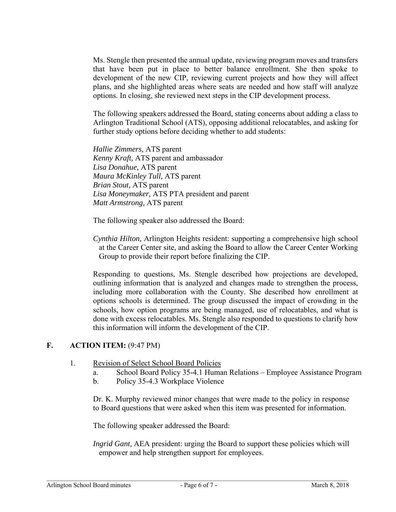Ms. Stengle then presented the annual update, reviewing program moves and transfers that have been put in place to better balance enrollment. She then spoke to development of the new CIP, reviewing current projects and how they will affect plans, and she highlighted areas where seats are needed and how staff will analyze options. In closing, she reviewed next steps in the CIP development process.

The following speakers addressed the Board, stating concerns about adding a class to Arlington Traditional School (ATS), opposing additional relocatables, and asking for further study options before deciding whether to add students:

*Hallie Zimmers,* ATS parent *Kenny Kraft,* ATS parent and ambassador *Lisa Donahue,* ATS parent *Maura McKinley Tull,* ATS parent *Brian Stout,* ATS parent *Lisa Moneymaker,* ATS PTA president and parent *Matt Armstrong,* ATS parent

The following speaker also addressed the Board:

*Cynthia Hilton,* Arlington Heights resident: supporting a comprehensive high school at the Career Center site, and asking the Board to allow the Career Center Working Group to provide their report before finalizing the CIP.

Responding to questions, Ms. Stengle described how projections are developed, outlining information that is analyzed and changes made to strengthen the process, including more collaboration with the County. She described how enrollment at options schools is determined. The group discussed the impact of crowding in the schools, how option programs are being managed, use of relocatables, and what is done with excess relocatables. Ms. Stengle also responded to questions to clarify how this information will inform the development of the CIP.

### **F. ACTION ITEM:** (9:47 PM)

- 1. Revision of Select School Board Policies
	- a. School Board Policy 35-4.1 Human Relations Employee Assistance Program
	- b. Policy 35-4.3 Workplace Violence

Dr. K. Murphy reviewed minor changes that were made to the policy in response to Board questions that were asked when this item was presented for information.

The following speaker addressed the Board:

*Ingrid Gant,* AEA president: urging the Board to support these policies which will empower and help strengthen support for employees.